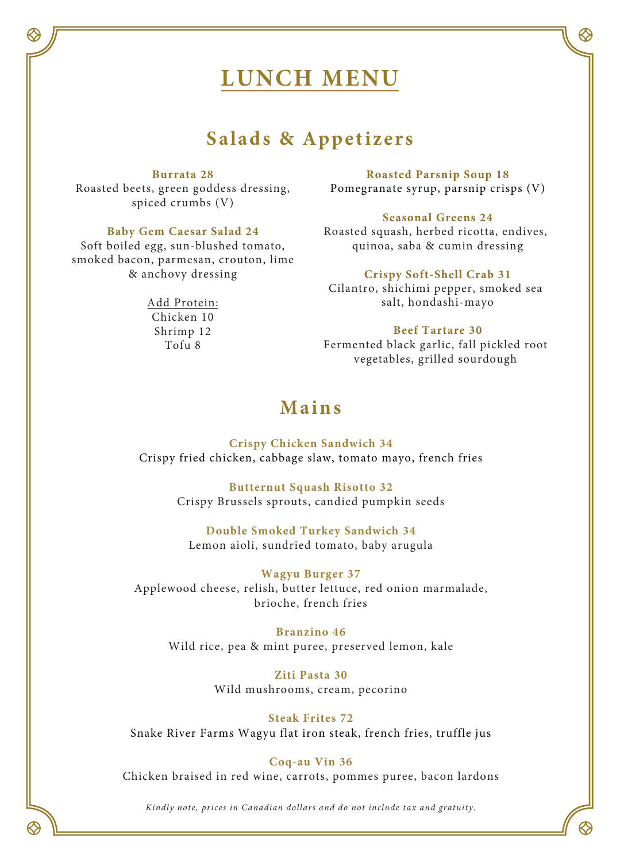# **LUNCH MENU**

# **Salads & Appetizers**

#### **Burrata 28**

Roasted beets, green goddess dressing, spiced crumbs (V)

#### **Baby Gem Caesar Salad 24**

Soft boiled egg, sun-blushed tomato, smoked bacon, parmesan, crouton, lime & anchovy dressing

> Add Protein: Chicken 10 Shrimp 12 Tofu 8

**Roasted Parsnip Soup 18**  Pomegranate syrup, parsnip crisps (V)

#### **Seasonal Greens 24**

Roasted squash, herbed ricotta, endives, quinoa, saba & cumin dressing

#### **Crispy Soft-Shell Crab 31**

Cilantro, shichimi pepper, smoked sea salt, hondashi-mayo

#### **Beef Tartare 30**

Fermented black garlic, fall pickled root vegetables, grilled sourdough

# **Mains**

**Crispy Chicken Sandwich 34** Crispy fried chicken, cabbage slaw, tomato mayo, french fries

> **Butternut Squash Risotto 32** Crispy Brussels sprouts, candied pumpkin seeds

**Double Smoked Turkey Sandwich 34** Lemon aioli, sundried tomato, baby arugula

#### **Wagyu Burger 37**

Applewood cheese, relish, butter lettuce, red onion marmalade, brioche, french fries

**Branzino 46** Wild rice, pea & mint puree, preserved lemon, kale

> **Ziti Pasta 30** Wild mushrooms, cream, pecorino

### **Steak Frites 72**

Snake River Farms Wagyu flat iron steak, french fries, truffle jus

#### **Coq-au Vin 36**

Chicken braised in red wine, carrots, pommes puree, bacon lardons

*Kindly note, prices in Canadian dollars and do not include tax and gratuity.*